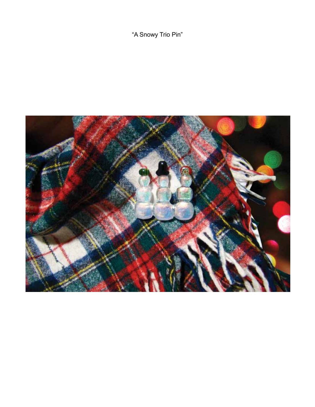"A Snowy Trio Pin"

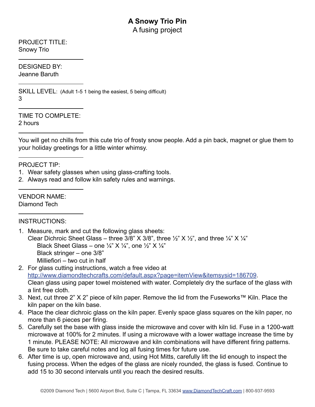## **A Snowy Trio Pin** A fusing project

PROJECT TITLE: Snowy Trio

DESIGNED BY: Jeanne Baruth

SKILL LEVEL: (Adult 1-5 1 being the easiest, 5 being difficult) 3

TIME TO COMPLETE: 2 hours

You will get no chills from this cute trio of frosty snow people. Add a pin back, magnet or glue them to your holiday greetings for a little winter whimsy.

PROJECT TIP:

- 1. Wear safety glasses when using glass-crafting tools.
- 2. Always read and follow kiln safety rules and warnings.

VENDOR NAME: Diamond Tech

## INSTRUCTIONS:

- 1. Measure, mark and cut the following glass sheets: Clear Dichroic Sheet Glass – three 3/8" X 3/8", three  $\frac{1}{2}$ " X  $\frac{1}{2}$ ", and three  $\frac{1}{4}$ " X  $\frac{1}{4}$ " Black Sheet Glass – one  $\frac{1}{4}$ " X  $\frac{1}{4}$ ", one  $\frac{1}{2}$ " X  $\frac{1}{4}$ " Black stringer – one 3/8" Milliefiori – two cut in half
- 2. For glass cutting instructions, watch a free video at http://www.diamondtechcrafts.com/default.aspx?page=itemView&itemsysid=186709. Clean glass using paper towel moistened with water. Completely dry the surface of the glass with a lint free cloth.
- 3. Next, cut three 2" X 2" piece of kiln paper. Remove the lid from the Fuseworks™ Kiln. Place the kiln paper on the kiln base.
- 4. Place the clear dichroic glass on the kiln paper. Evenly space glass squares on the kiln paper, no more than 6 pieces per firing.
- 5. Carefully set the base with glass inside the microwave and cover with kiln lid. Fuse in a 1200-watt microwave at 100% for 2 minutes. If using a microwave with a lower wattage increase the time by 1 minute. PLEASE NOTE: All microwave and kiln combinations will have different firing patterns. Be sure to take careful notes and log all fusing times for future use.
- 6. After time is up, open microwave and, using Hot Mitts, carefully lift the lid enough to inspect the fusing process. When the edges of the glass are nicely rounded, the glass is fused. Continue to add 15 to 30 second intervals until you reach the desired results.